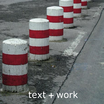# text + work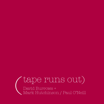# (tape runs out) David Burrows + Mark Hutchinson / Paul O'Neill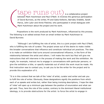$\left(\begin{array}{c} 1 \ 1 \end{array}\right)$  $\theta \in \text{PUNS}\text{ Out}$  ) is a collaborative project between Mark Hutchinson and Paul O'Neill. It involves the generous participation of David Burrows, as the writer, Pil and Galia Kollectiv, Barnaby Drabble, Sarah Pierce, John Lalor and Annie Fletcher, who participated in email dialogues with Mark Hutchinson about the project and his work.

Propositions is the work produced by Mark Hutchinson, influenced by this process. The following is an edited extract from an email written by Mark Hutchinson to David Burrows:

"Although I am fulfilling the role of artist, this is a joint project with Paul O'Neill, who is fulfilling the role of curator. The project arose out of the desire to make visible the broader conversations that influence and constitute individual art practices. The idea is to make an exhibition that turns around conversational influence, in the form of the relationship between the artist and others. I will make the work but Paul will give me instructions that will intervene in the process of making the work and the exhibition. He might, for example, instruct me to engage in conversations with particular persons; or give the exhibition a title; or specify materials out of which the work must be made. His first instruction was to contact you, to ask you to be the writer for the project and to provide this explanation of it.

"It is in this context that we talk of the 'roles' of artist, curator and writer and ask you to fulfil the role of writer. Obviously, these designations signify the positions from which each of us speaks and writes but, rather than being ironizing descriptions, I hope the idea of 'roles' will open up a minimum gap between the position of enunciation and what can get said. Thus, here the role of the curator, contrary to the dominant liberal institutional ideology, is to provide obstructions for the artist: to force the artist to engage in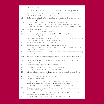On Tape Running Out

| 1     | Liam Gillick (to Paul O'Neill): "If we're sitting here talking about the idea<br>that people, whoever they might be, might think that curatorial structures<br>are too locked down, too defined something or too didactic or too obvious,<br>then we are probably not"[tape runs out] |
|-------|---------------------------------------------------------------------------------------------------------------------------------------------------------------------------------------------------------------------------------------------------------------------------------------|
| 1.1   | To be presented with a fragment of text is to find oneself in the position of a<br>philologist trying to decipher a dead language.                                                                                                                                                    |
| 1.1.2 | Dead language can only be analysed in terms of the meaning of its words<br>because the context of the use of this language is radically inaccessible.                                                                                                                                 |
| 1.2.1 | If words are the bones of language, intonation is the living animal in motion.                                                                                                                                                                                                        |
| 1.2.2 | Dead language lacks intonation.                                                                                                                                                                                                                                                       |
| S.    | The basic unit of meaning is the word.                                                                                                                                                                                                                                                |
| 2.1   | A word is used differently, and for different things, in differing<br>circumstances by different persons or groups.                                                                                                                                                                   |
| 2.1.1 | Dictionaries are ideological: they obfuscate the way that every time a word is<br>used it is transformed; every use is a new use.                                                                                                                                                     |
| 2.1.2 | Each word is a site of conflict, of struggle.                                                                                                                                                                                                                                         |
| 3     | The basic unit of speech is the utterance: the sentence.                                                                                                                                                                                                                              |
| 3.1   | The 'theme' of the utterance, as opposed to the meaning of its words, is a<br>function of the whole sentence.                                                                                                                                                                         |
| 3.1.1 | The broken sentence is a broken tool: it is like a wooden handle with nothing<br>attached to it.                                                                                                                                                                                      |
| 3.1.2 | We might be able to deduce something about what is missing from what is<br>there: what we cannot do is use the part we have.                                                                                                                                                          |
| 3.2   | Each utterence is a unique tool, fashioned for the particularities of the<br>occasion of its use.                                                                                                                                                                                     |
| 4     | The basic reality of speech is verbal interaction.                                                                                                                                                                                                                                    |
| 4.1   | Language is not the medium of subjective expression.                                                                                                                                                                                                                                  |
| 4.2   | Language is not an abstract, objective structure.                                                                                                                                                                                                                                     |
| 4.3   | All use of language is particular: it is to be located spatially, temporally and<br>in relation to the use of language of others.                                                                                                                                                     |
| 4.3.1 | Every utterance is embedded in social being.                                                                                                                                                                                                                                          |
| 4.3.2 | To speak is to take sides                                                                                                                                                                                                                                                             |
| 5.    | To imagine the completion of the broken sentence is not to imagine a set of<br>words; it is to imagine a conversation and a social situation.                                                                                                                                         |
| 5.1   | The sentence could be completed in an infinite number of ways.                                                                                                                                                                                                                        |
| 5.1.1 | The sentence could finish: going to want to reproduce these conditions in<br>the ways we find of going on.                                                                                                                                                                            |
| 5.1.2 | The sentence could finish with a full stop: the missing predicate could be<br>implied by the preceding conversation.                                                                                                                                                                  |
| 6     | There are times when a satisfactory conclusion is impossible.                                                                                                                                                                                                                         |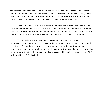conversations and activities which would not otherwise have been there. And the role of the artist is to be influenced and deviated: that is, to realise the comedy in trying to get things done. And the role of the writer, here, is not to interpret or explain the work but rather to take it for granted: which is to say to constitute it in some way.

Mark Hutchinson's work will analyse (in a quasi-philosophical way) every aspect of the exhibition: writing; walls; toilets; the public; conversation; the ontology of the art object; etc. This is an absurd and infinite undertaking bound to end in failure and bathos. However, the work is paradigmatically open to change as the project goes along.

"I have written several catalogue essays and each and every time the commissioner says that they do not, necessarily, want me to write about the work; and each first draft gets the response that it was not quite what they anticipated and, perhaps, I could write about the work a bit more. On the contrary, I propose that you do write about the work but without the hindrance and blindness caused by seeing or reading any of it." Mark Hutchinson & Paul O'Neill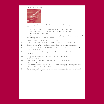#### On the Found Object



- Something extraordinary had to happen before a found object could become art. 2
- The Readymade was invented by Dada as a tactic of negation. 2.1
- Te Readymade was incomprehensible (and that was the point) within contemporaneous discourse. 2.2.1
- The Readymade should be defined by its negative properties: as the result of the attempt not to do something else. 2.2.2
- Art was transformed by the anti-art of Dada. 2.3
- Today, in art, practices of nomination and appropriation are normal. 3.
- To find 'a Buren' is to find something that was not previously there. 4
- With a 'found Buren,' the thing found was not, and is not, a Buren; it was not made by Buren. 4.1
- To find 'a Buren' is to apply a particular description to a piece of the world. 4.2
- Such a description is, at the same time, both appropriate and inappropriate. 4.2.1
- The 'found Buren' is a deliberate oxymoron: a kind of willful category mistake. 4.2.2
- To nominate something as a 'found Buren' is to apply a description rather than to nominate a bit of the world. 4.3
- To consider a piece of the world under an anomalous description is to make unexpected connections. 5.

1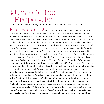# CUNSOlicited<br>Proposals<br>Transcripts of seven recordings found on a disc m Proposals'

Transcripts of seven recordings found on a disc marked 'Unsolicited Proposal's'

First Recording Hi... if you're listening to this... then you're most probably my boss and I'm already dead... or you'll be ordering my elimination shortly... if you're a journalist, then I'm about to get snuffed, or it has already happened, but I trust I have chosen well and you'll know what to do... and if, by chance, you're a member of the public... whatever that might be... then you'd better listen with both ears because there is something you should know... I work for cultural security... never knew we existed, right? But we're everywhere... anyway... a report came in a year ago, 'unsanctioned information in the public domain'- public, there's that word again... anyway, Johnny Jones called it in... I asked him whether it was political. 'Hard to tell', was his reply. 'Well how big an area is contaminated?' 'One street in East London', he said, 'and maybe a building, a gallery, that's why I called you'... well [...] you too! I asked for more information. 'What do you mean one street, how many broadcasts are we talking about?' 'One,' he said, 'It's a poster on a wall, and maybe another in the gallery, but the building is private not public property, boss wants you to investigate'... you see, I work undercover, no one knows about my security work... I was recruited at university and I've lived a double life ever since as an artist and writer and as an Arts Council agent... you might wonder why money's so tight at the Arts Council, it's because we're hidden in the budget, an order of pencils here, a consultancy there, we're the black ops unit of the A.C. but we're so deep that not even Whitehall knows about us... no one can figure out why I'm awarded so many grants or make any sales at all... it's kind of funny... I'm paid well for my services... but in all the years I've worked for cultural security at A.C. I've never been asked to investigate such small scale activity... it was just a poster... jeezus... should have known there and then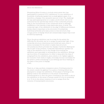#### About the Exhibition

Everything Must Go aims to include every artist who has participated in previous V.T.O. exhibitions. It is an exhibition of hundreds of artworks packed into a small gallery space. It is, therefore, a display of an excessive amount of art. The challenge for any participating artist is to make a work which will not be subsumed by the spectacular excess of this curatorial premise. That is, the inclusiveness of the unselected show is radically indifferent to the identity of any particular piece of work. The curatorial logic of the exhibition is the play of differences between works; what is important is the structure of multiplicity. Individual artworks articulate points in this structure; they occupy points of display which are semantically empty: they could be filled by anything.

Thus, the group exhibition can be a trap for the artist; the difficulty for the artist can be to escape its particular logic. If the curatorial structure determines how works are seen, then it seems necessary for the artist to tackle that structure: circumstances which precedes the display of artwork. Making art can be part of the problem. Curatorial expectations operate not only in the exhibition but in the things surrounding the exhibition and especially in writing about the exhibition. Writing can be a form of containment. In order to keep alive the idea of escaping from the exhibition, and, indeed, to be vigilant against the closures of art itself, it might, ironically, become necessary for the artist to write something: to put writing, and thus reading, in the place of the point of display of art.

There is, or was, another, companion piece of writing posted in the street outside the gallery. It is a piece of writing which has attempted to escape the exhibition. If this panel of writing in the gallery is about the exhibition in the sense of describing something about it, then the piece of writing in the street is about the exhibition in the sense of being outside of it but in proximity to it. To be in the street, however, is not to escape from the closures of interpretative structures.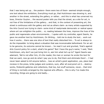that I was being set up... the posters- there were two of them- seemed simple enough, one text about the exhibition, Everything must go, that Hutchinson was showing in, and another in the street, extending the gallery, or rather... and this is what has unnerved my boss, Director Guyton... the second poster tells you that the street, as a site for art, is not free of the limitations of the gallery... and that, in the context of presenting art, the street is continuous with the gallery and not as others claim- as many artists supported by the Arts Council are trying to claim- some kind of readymade democratic or radical space where art can enlighten the public... or, reading between the lines, improve the lives of the public and regenerate urban environments... I spoke with my controller, agent Searle, he gave me another text by Hutchinson, On Writing... told me to study the text... work out how it works... there was one slice of text that really disturbed him... To act is always to do the impossible: to bring about a situation that was inconceivable beforehand. For an act to be genuine, its outcome cannot be known... he read it out and grunted, 'that's against Arts Council policy for a start, what's his game? 'But I have the guy's name,' I said, 'Mark Hutchinson, why don't we just bring him in, ask him what he's up to?' Agent Searle was adamant, 'We're not after him, it's the reader, the man or woman he wrote the text for that we want, now go and do what I pay you to do, find them and eliminate them'... I had never been asked to kill anyone before... lose an artist's grant application, yes, place bad reviews in the press, bribe judges and curators, sure, after all everyone's at it... destroy works, firebomb galleries and collections, that too, but snuff someone, never... that kind of thing is normally arranged by the regional arts officers... this is why I've made this recording, things are going to end badly...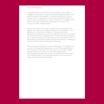#### About the Exhibition

Everything Must Go is the title of an exhibition. The slogan is usually an enticement to buy something: an advertisement. This poster, however, is an escapee from an art exhibition. It is not trying to sell you anything. On the street, however, it might be a kind of stain: something out of place. However, it is designed to be read in the street rather than the gallery: to be seen to be continuous with everything else.

Being in the street is no way to escape the determinates of the gallery. The street is not a place free from the constraints of the gallery; art in the street is subject to the same divisions, exclusions and absences as art in the gallery. The point of putting art on the street is to emphasise the continuities with the gallery not to draw a distinction. Social division and contradiction are not articulated in the divide between art and something or everything else but run through everything, including art.

There is another companion piece of writing in V.T.O. gallery. It is a piece of writing that masquerades as an official explanation of the exhibition. It should be obvious that it is not what it might appear, however. It is about the difficulty facing artists participating in shows such as this: something that such texts do not usually bring up. The writing attempts to be some kind of hiatus amongst the other artworks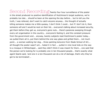Second Recording Twenty four hour surveillance of the poster in the street produced no positive identification of Hutchinson's target audience, we're probably too late... should've been at the opening the day before... but to tell you the truth, I was relieved, don't want to catch anyone anyway... the thought of actually killing someone makes me a little queasy, I don't think I could... but if I don't do it, then someone will and I would be next on their list... everyone's talking about increased security, get them before they get us, everyone's gone nuts... there's paranoia sweeping through every art organisation in the country... everyone's feeling it, and the constant pressure from the government and... anyway, twenty subjects read Hutchinson's poster today... we pulled them all in, put them behind the one way glass and grilled them... not much point... a woman walking her dog... three painting lecturers from Slade School of Art... all thought the poster wasn't art... hated it in fact ... pulled in nine local kids on the way to a mosque in Whitechapel... said they didn't think it was meant for them... one said that the person we're looking for is probably one in ten thousand people... that's exactly what agent Searle said, 'and one in a ten thousand can do a lot of damage, that's why they've got to be terminated'...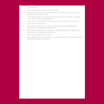On the Public

- Art is produced in relation to other people. 1
- Art does not enter into a relationship with the public; art is formed in the relationships between people. 1.1
- In art, generosity is not a function of meaning; it is the refusal to mystify one's own conditions of possibility. 1.2
- Producing art 'in public' is not the same as producing art for a public. 2
- The public does not exist. 2.1
- The public are diverse, multiple, contradictory, fractured, fragmented, inconsistent, changeable and perverse. 2.1.1
- Each individual is diverse, multiple, contradictory, fractured, fragmented, inconsistent, changeable and perverse. 2.1.2
- Art must manage without a public. 2.2
- What might follow if one thought of art as the search for collaborators rather than as the search for a public? 3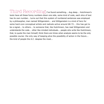$Third$   $Recording$  I've found something... dug deep... Hutchinson's texts have all these funny numbers down one side, some kind of code, each slice of text has its own number... turns out that this system of numbered sentences was employed by a philosopher, man named Wittgenstein... and Wittgenstein is a kind of hero for some hard-core conceptual artists and radicals active around 68-72... this has got to be a signal... to others... to someone that, like Hutchinson, has read Wittgenstein and understands the code... other like-minded individuals... people who write like Hutchinson, that, to quote the man himself, think there are times when analysis seems to be the only possible course: the only way of keeping alive the possibility of action in the future... the kind of people the A.C. despise the most...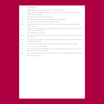On Escaping

- Nowadays, it is common for art to escape the gallery. 1
- There are no nooks and crannies of either public nor private space into which art cannot go. 1.1
- Art can try to colonise public space. 1.1.1
- Being somewhere is not the same as belonging there. 1.1.2
- Art can try to be subservient to public space. 1.2
- Being responsive to the culture of others is not the same as being part of that culture. 1.2.1
- All public art is ugly in the specific sense of being out of place: of being that which does not belong. 2
- Art belongs with other art. 2.1
- The trouble for the artist is what to do if he or she does not feel at home with art as it is. 2.1.2
- Giving up is one way to solve the problem for the artist but it does not solve the problem for art. 2.1.3
- There are things about art from which the artist might wish to escape. 2.2
- Art is need of an operation. 3
- The escape from the absences and contradictions that hinder art can only take place in time, not space. 3.1
- Art's attempt to escape its constraints is to enact the impossibility of escape. 3.2
- True art is fugitive. 4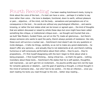FOUPth Recording I've been reading Hutchinson's texts, trying to think about the voice of the text... if a text can have a voice... perhaps it is better to say tone rather than voice... the tone is deadpan, functional, down to earth, without pleasure or pain... objective... of the mind, not the body... sensations and perceptions are of no consequence in the text... his words are without any psychological inflection... and seems knowing, or rather the text states what can be known or agreed upon... the kind of thoughts that are seldom discussed or raised by artists these days but once might have been called something like critique, or institutional critique even... we thought we'd buried that one... we built Tate Modern, funded Frieze, put art on the TV, made art glamorous... but there's always someone who wants to spoil the party, there's always pockets of resistance- like rats, these scum will survive a nuclear war... Hutchinson's text doesn't ask me any questions or invite dialogue... it tells me things, carefully, so as not to make any grand statements... he doesn't offer any opinions... and actually they're not statements at all, and there's nothing humorous or self-consciously performative about them either... they're pure... they're propositions... If I find myself disagreeing with the text I begin to think about what is being proposed... I find myself thinking... being critical too... so that's his game... nothing incendiary about these texts... Hutchinson's file states that he is soft-spoken, thoughtful, well mannered... we can't get him on incitement... his psycho-profile says he's not the type for romantic gestures or idealism... just the goal of sparking a thought, a critical thought in the mind of someone else... but who? Got to be careful... it's like an infection... once you start reading his texts you read through to the end... better stop reading...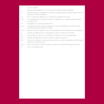On the Outside

- Being inside a gallery is not the same as being outside a gallery. 1
- The architecture, design and coding of a gallery promote particular forms of behaviour within a gallery. 1.1
- To be outside the gallery is to escape the architecture of art. 1.2
- It is usually easy to spot art outside of a gallery: art usually draws attention to itself as art. 1.2.1
- The gallery is not just architecture. 1.3
- The gallery can be a kind of allegory of the interpretative structures that precede any particular piece of art. 1.3.1
- Being outside the gallery can be little different from being inside the gallery. 1.3.2
- Outside the galllery art is, typically, in a place of diverse interests. 2
- Public space is used in a multitude of different and competing ways. 2.1
- Outside the gallery art does not have a captive audiance. 2.2
- There is no reason to suppose that someone outside the gallery will have any interest in any art there. 2.3
- There are plenty of other things in which to be interested, apart from art. 2.2.1
- Art is nothing special. 3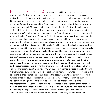$Fifth \text{Recordin}$  Hello again... still here... there's been another 'contamination' called in... this time by A.C. vice... seems Hutchinson put up a poster on a toilet door... as the poster itself explains, the toilet is a classic public/private space where illicit contact and exchange can take place... and like other posters, it's straightforward... a lot of stuff about Duchamp and the Readymade... strictly speaking, I don't know whether the poster is art, and if I could convince agent Searle that it isn't, it would no longer be in my jurisdiction... it's probably anti-art though, which would make it art anyway... but it's not a can of worms I want to open... as long ago as the 70s, when my predecessor was called in by the head of Coventry Art School to flush out a group known as Art and Language, that particular issue has been verboten... a philosopher was called in to report on whether the group and their students were producing philosophy or art, as more words than objects were being produced. The philosopher said he couldn't tell but was enthusiastic about what they were up to and didn't care whether it was art, the words were important... so that particular ruse went pear-shaped... other means had to be found to remove the group... but it is a good example of how an operation can go wrong if you get ensnared by that question, the 'is it art?' question... the group just became martyrs, telling the story of the philosopher over and over... Art and Language came up in a conversation Hutchinson had the other day... I have it on tape, a phone tap recording... Hutchinson said that he was influenced by the group's ideas... as if any further proof were needed... it's there in black and white, I quote Hutchinson's text On Toilets... Any art that is not aligned towards the collective will misrepresent its own condition... he also said he was interested in what collaborators might be out there, that might be engaged through the posters... I listened to that recording a hundred times, he sounded sincere but... I don't get it... I mean, doesn't he know who he's communicating with? There must be someone else directing him... a controller... and another thing... Hutchinson said that he's interested in the negation of the negation, marking or revealing that which is absent in a discourse or structure... the gaps he called it... marking the gaps... I called in the TEU... that's Terminology Explanation Unit... they said that I had a 'critical realist' on my hands... and they seldom work alone...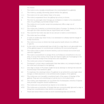On Toilets

| $\mathbb{I}$     | The toilet is not, usually, something to be contemplated in a gallery.                                                                                                                                                  |
|------------------|-------------------------------------------------------------------------------------------------------------------------------------------------------------------------------------------------------------------------|
| 1.1              | The toilet is, usually, discreetly placed within the gallery.                                                                                                                                                           |
| 1.1.1            | The toilet is to be used rather than to be seen.                                                                                                                                                                        |
| 1.2 <sub>5</sub> | The toilet is separated from the gallery by a door, or doors.                                                                                                                                                           |
| 2.               | The door is, amongst other things, an invitation to leave: to be somewhere<br>else. It is, perhaps, a potential escape route.                                                                                           |
| 2.1              | The toilets do not (under usual circumstances) offer a way out of<br>the building.                                                                                                                                      |
| 2.1.1            | The toilets are, however, a conventional place of escape. In drama, it is often<br>through the toilet window that an improvized exit is made.                                                                           |
| 2.1.2            | The need for the toilet can also be an excuse to leave a conversation.                                                                                                                                                  |
| 2.2              | The toilet can be a refuge.                                                                                                                                                                                             |
| 3                | A toilet is unlike any other room. It is dedicated to a fairly narrow range of<br>bodily functions.                                                                                                                     |
| 3.1              | The toilet is a room in which the body asserts itself, where it is difficult<br>to ignore.                                                                                                                              |
| 3.1.2            | In the toilet one emphatically has a body (in a way that is not generally true<br>of the gallery space or conventional conditions for encountering art).                                                                |
| 3.2              | The toilet is also a place of secret desires, such as sexual encounters and<br>narcotic ingestion.                                                                                                                      |
| 3.3              | The toilet is somewhere to escape from surveillance: somewhere to be not<br>seen. It is as if the needs of the body are beyond sight: as if indulging in the<br>body is itself an escape from being seen and regulated. |
| 4                | The toilets are a kind of readymade.                                                                                                                                                                                    |
| 4.1              | Duchamp's urinal was a readymade that was taken out, metaphorically, of<br>the toilet and relocated in the gallery.                                                                                                     |
| 4.1.1            | One way to think of Fountain might be as an attempt to disrupt the smooth<br>functioning of the aesthetic gaze.                                                                                                         |
| 4.2              | To implicate the existing toilets of a gallery in an artwork is, amongst other<br>things, to draw attention to the architectural margins of the gallery.                                                                |
| 4.2.1            | The toilets are not (usually) considered part of the space of display of the<br>gallery. They are not something to look at (nor to be looked into).                                                                     |
| 4.3              | The toilets, qua readymade, do not follow the Duchampian criteria of objects<br>that provoke complete visual indifference.                                                                                              |
| 4.3.1            | The toilets are not presented as objects to be looked at.                                                                                                                                                               |
| 4.3.2            | The toilets are a reminder of things that are conventionally ignored: a way to<br>bring into consideration that which is normally left out.                                                                             |
| 5                | There are times when a toilet is more interesting than an artwork.                                                                                                                                                      |
|                  |                                                                                                                                                                                                                         |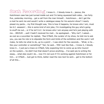Sixth Recording I knew it... I bloody knew it... jeezus, the Hutchinson case has just turned inside out and I'm being squeezed both sides... ten forty five, yesterday morning... got a call from the man himself... Hutchinson... did I get the e-mail he sent me and would I write a catalogue essay for his autumn show? I nearly pissed my pants... my first thought was, 'this is how it happens, he knows who I am, must be A.C. assassin'... this is some kind of sick joke, I'm investigating the guy who's going to snuff me out... or if he isn't A.C. he knows who I am anyway and he's just playing with me... JEEZUS! ...well I hadn't received his mail... he apologised... 'Why me?', I asked... as cool as a cucumber he replied, 'Paul O'Neill, the curator of my show, he told me to ask you, you see his role is to stipulate the form and limits of the exhibition and the work I will make, he tells me what to do, up to a point'... I was silent for few seconds... 'What, is he... like your controller or something?' 'Yes', he said... YES! Just like that... I knew it, I bloody knew it... I just put a trace on O'Neill, fully expecting him to come up as Arts Council on the system... he didn't but that doesn't prove anything... I've said yes to writing the essay... what else could I do... now I'm not sure if I'm working against Hutchinson or for him... or O'Neill... Just got to think, better read the new text he sent... get to the bottom of all this...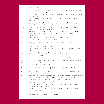On Contamination

| 1                | It is possible to think of art as a contaminant, as something which spoils the<br>pristine space of the gallery.                                                                                                                  |
|------------------|-----------------------------------------------------------------------------------------------------------------------------------------------------------------------------------------------------------------------------------|
| 1.1              | To contaminate is to render impure by contact or mixture: to corrupt, defile,<br>pollute, sully, taint, or infect.                                                                                                                |
| 1.2 <sub>5</sub> | The contaminant is that which does not stay in its proper place or keep<br>its distance.                                                                                                                                          |
| 1.2.1            | The same sensation of being touched is experienced differently depending<br>upon whether the attention is wanted or not.                                                                                                          |
| 1.2.2            | The undesired touch commonly provokes physical revulsion and an attempt<br>to get away: to re-establish a distance.                                                                                                               |
| 1.2.3            | When the contaminant gets inside the subject it induces vomiting as an<br>attempt to expel the contaminant: this, of course, produces more<br>contamination.                                                                      |
| 1.3              | It is as if the worst thing that contamination threatens is the collapse of the<br>subject's distinction from everything else.                                                                                                    |
| 2                | The contaminant not only spoils that which it touches but everything<br>around it.                                                                                                                                                |
| 2.1              | The logic of contamination is to spread.                                                                                                                                                                                          |
| 2.1.1            | The stain on the sheet spoils the whole sheet: it has already spread beyond<br>its physical location.                                                                                                                             |
| 2.1.2            | There is no surface to the stain; it is that which is uncontained.                                                                                                                                                                |
| 3                | Contamination is excessive.                                                                                                                                                                                                       |
| 3.1              | Contamination is sudden and unpredictable, even if expected.                                                                                                                                                                      |
| 3.2              | Contamination is always close by, just out of sight or precariously contained.                                                                                                                                                    |
| 3.3              | The detectible contaminant is always a promise of more to come: it contains<br>the threat that order will break down.                                                                                                             |
| 4                | The idea of contamination implies the idea that there was, prior to the<br>contamination coming, a place free of contamination.                                                                                                   |
| 4.1              | The contaminant is a breach of order and purity: it makes the erstwhile<br>fantasy of purity unsustainable.                                                                                                                       |
| 4.2.             | It is in being unpredictable and uncontrollable - the ability to spread not just<br>itself but uncertainty - that the contaminant destroys the predictable and<br>ordered space around the subject before it gets to the subject. |
| 5                | The gallery is usually a place of purity and order.                                                                                                                                                                               |
| 5.1              | The sanctioned transgressions of some artists reinforce this purity and<br>order rather than challenging it.                                                                                                                      |
| 5.2              | What would it mean to think of the gallery as a place of genuine uncertainty<br>or unpredictability?                                                                                                                              |
| 6                | The contaminant is a reminder of that which is repressed in order to<br>maintain illusions of coherence and unity.                                                                                                                |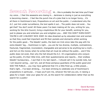$Seventh$   $Recording$  Hi... this is probably the last time you'll hear my voice... I feel the assassins are closing in... darkness is closing in just as everything is becoming clearer... I feel like the punch line of a joke that is no longer funny... it's all there in Hutchinson's text, Propositions on art and the public...I understand why the A.C. put him under surveillance, the text spells it out... The public does not exist... You get that? You don't exist! All these years I've been making art for you, writing for you, working for the Arts Council, living a duplicitous life for your benefit, working for you, just to please you and entertain you and enlighten you... AND YOU DON'T EVEN EXIST! YOU'RE A LIE! A BLOODY SICK JOKE! An idea dreamed up by educated men and woman so that they could feel important and fill their pockets and stomachs whilst working for the public good... The bleedin' public, the best con trick since Jake the peg with his extra bleedin' leg... Hutchinson is right... you are far too diverse, multiple, contradictory, fractured, fragmented, inconsistent, changeable and perverse to be anything but a myth... and he's on the money when he writes that art must do without the public... and if the public does not exist, then why the hell should the A.C. It's organisations who conjure up the public, it's their little trick, with their questionnaires and reports... their endless bleedin' bureaucracy... I put that in my last report... I should call it my suicide note, but I am beyond caring... sod 'em, sod all those pompous guardians of the public good and SOD THE PUBLIC... you may have gathered that I'm a little fired up, a little pissed... that's right... I've been drinking... I've been drinking to celebrate one of Hutchinson's propositions in particular... I hope you'll join me, whoever the hell you are, in raising a glass for a toast- raise your glass for art, as the search for collaborators rather than as the search for a public!

> David Burrows Artist + Writer October 2006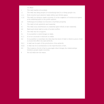On Walls

- The wall marks a boundary. 1
- The wall can keep people (or something else) in or keep people out. 1.1
- Both interior and exterior walls define and divide space. 1.1.1
- The wall is a division made concrete. It is the negation of continuous space; a de-totalising split in the public sphere. 1.1.2
- Defining a boundary is a function of private property. 1.2
- The wall is both symbolic and material. 2
- The wall is an intervention in material space which is also material. 2.1
- Each and every wall is a site of social conflict. 2.2
- The wall can be a support. 3
- It is possible to stick things on walls. 3.1
- It is not unusual to stick art on walls. 3.1.1
- It is possible to entertain the idea that the kind of wall to which a piece of art is stuck will effect the said artwork. 3.2
- A wall can be part of the production of an artwork. 3.2.1
- A wall can be a mechanism in the reproduction of art. 3.2.2
- The location of a bit of art is, amongst other things, the relationships between people made concrete. 3.3
- Not all walls are the same. 4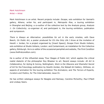Mark Hutchinson Artist + Artist

Mark Hutchinson is an artist. Recent projects include: *Escape*, solo exhibition for Vamiali's gallery, Athens; writer for, and participant in, *Metropolis Rise*, a touring exhibition in Shanghai and Beijing; a co-author of the collective text by the Analysis group, *Analysis 1*: *On Collectivity*; co-organiser of, and participant in, the touring exhibition, publication and symposium.

*There is Always an Alternative: possibilities for art in the early nineties*, with Dave Beech; *On Public Art*, a poster produced for *It's the Only Life I Know* at the invitation of Hewitt + Jordan, for a project organised by [Insert Space]; *Escape From Studio Voltaire*, solo exhibition at Studio Voltaire, London: and Contaminant, an installation for the Collective gallery, Edinburgh. He is co-editor of the occasional pamphlet and website, *The First Condition* (www.thefirstconditon.com).

He is author of the influential essay 'Four Stages of Public Art,' which applies the critical realist dialectic of the philosopher Roy Bhaskar to art. Recent essays include: *All Art Is Collaborative*, for Ayling & Conroy, Nottingham; *Work is the Obscene and Shameful Secret of Art* for the Futurology publication by Hewitt+Jordan, the Walsall Art Gallery; *Stillness*, on aspects of animation for the touring exhibition The Animators; and *The Terrors of Experts, Curators and Publics*, for The Internationaler, issue 01.

He has written catalogue essays for Beagles and Ramsay; Caroline McCarthy; Paul O'Neill and Lindsay Seers.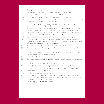on writing

| $\mathbb{I}$     | In art, writing is everywhere.                                                                                                                                                                            |
|------------------|-----------------------------------------------------------------------------------------------------------------------------------------------------------------------------------------------------------|
| 1.1              | In galleries, there is writing about art and writing which is art.                                                                                                                                        |
| 1.1.1            | It might not be easy to tell whether some writing is about art or is art.                                                                                                                                 |
| 1.1.2            | There are other ways of categorizing writing in relation to art.                                                                                                                                          |
| 1.1.3            | There is writing that seeks to be part of a critical understanding of itself and<br>of art; and there is writing which does not.                                                                          |
| 1.1.4            | It might be the least interesting thing about some writing, whether it is<br>taken to be a work of art (or not).                                                                                          |
| 1.2 <sub>5</sub> | Writing as art, or as part of an artwork, is now a familiar and established<br>strategy of art practice: seemingly one artistic choice amongst others.                                                    |
| 1.2.1            | Nowadays, to take up writing as art can be little more than to make a choice<br>about what kind of artist one wants to appear to be.                                                                      |
| 1.2.2            | Some artists write because they perceive the necessity of analysis.                                                                                                                                       |
| 1.2.3            | Nowadays, writing, qua artwork, must be aware that it will be taken as a<br>commitment to style rather than content, if it is not to perpetuate the state<br>of affairs that promotes style over content. |
| 2                | Reading has become a normal thing to do in a gallery.                                                                                                                                                     |
| 2.1              | It can be hard to read writing in a gallery because so much that is written<br>there is dull and inconsequential.                                                                                         |
| 2.2              | The familiarity of writing can be an obstacle to transforming an onlooker<br>into an interested and interesting reader.                                                                                   |
| 3                | Language is social.                                                                                                                                                                                       |
| 3.1              | Language is at once both formed by the practises of its users and formative<br>of those same practises.                                                                                                   |
| 3.1.1            | Language is in a continual state of transformation.                                                                                                                                                       |
| 3.2              | Writing both presupposes and perpetuates a constituency of users.                                                                                                                                         |
| 3.3              | The divisions of a divided society run through every aspect of language.                                                                                                                                  |
| 3.3.1            | Every word is a site of struggle.                                                                                                                                                                         |
| 3.3.2            | The use of language is always partisan.                                                                                                                                                                   |
| $\overline{4}$   | For an artist, there are times when writing seems to be the only possibility<br>of going on: when being articulate is the only way of being adequate to the<br>situation in which one finds oneself.      |
| 5                | All writing, qua art, is not the same.                                                                                                                                                                    |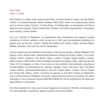### Paul O'Neill Artist + Curator

Paul O'Neill is a curator, artist, lecturer and writer, currently based in London. He was Gallery Curator at londonprintstudio Gallery between 2001-2003, where he curated group shows such as *Private Views*; *Friction*; *A Timely Place...Or Getting Back to Somewhere*; *All That is Solid* and solo projects: *Being Childish Billy Childish*; *Phil Collins Reproduction Timewasted*  and *Locating*: *Corban Walker*.

He is Co- Director of *MultiplesX*; an organisation that commissions and supports curated exhibitions of artist's editions, which he set up in 1997 and has presented exhibitions at spaces such as the ICA, London; Temple Bar Gallery and Project, Dublin; Ormeau Baths, Belfast; Glassbox, Paris and The Lowry, Manchester.

He has curated over 40 exhibitions and projects, that include recently: *Mingle-Mangled*, *Cork Caucus*, Cork; *General Idea: Selected Retrospective*, Project Art Centre, Dublin; *La La Land, Project*, Dublin; *Coalesce*: *The Remix, Redux*, London; *Tonight*, Studio Voltaire, London, 2004 *Coalesce: With All Due Intent* at Model and Niland Art Gallery, Sligo, 2004 and *Are We There Yet?* at Glassbox in Paris. As an artist, he has exhibited internationally, including at Zacheta Gallery of Contemporary Art, Warsaw; Glassbox, Paris; Villa Arson, Nice; The South London Gallery, temporarycontemporary and Cell Project Space, London; and at Project and Temple Bar Gallery, Dublin. Currently he teaches on the MFA Curating at Goldsmiths and is a PhD scholar at Middlesex University, researching the Culture of Curating. His edited anthology of new curatorial writing CURATING SUBJECTS, will be published by De Appel and Open Editions in December.

He writes regularly for many journals and magazines including *Art Monthly*, *Contemporary*, *the Internationaler*, *Everything*, *Space & Culture Journal* and *CIRCA*.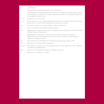On Absence

- Absence has ontological priority over presence. 1
- Constraints on living and being are defined by absence rather than positive obstructions: the absence of clean water; the absence of money; the absence of recognition; and so on. 1.1
- People are not born free. 1.1.1
- To be unfree is not to have supplementary forces enchaining a pre-existing freedom; it is to be restricted by what one does not have. 1.1.2
- To become free is to remove lacks: to absent absences. 1.2
- Art is constrained by what is absent from it. 2
- Appropriate behaviour with art is nothing but the exclusion of the possibility of other forms of behaviour. 2.1
- Expectations, rules and conventions block alternatives as much as prohibitions do: they deprive one of the terms in which something else might be thought or done. 3
- The Law and its transgression establish and rely upon each other. 3.1
- Freedom is not alternative behaviour. 3.1.1
- The absence of Law is not its transgression; it is the absence of the dialectic of Law and transgression. 3.1.2
- Freedom is alternative relations between persons. 3.2
- Freedom is a different society. 4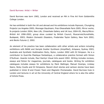#### David Burrows: Artist + Writer

David Burrows was born 1965, London and received an MA in Fine Art from Goldsmiths College London.

He has exhibited in both the UK and abroad and his exhibitions include *Popnosis*, Chungking Projects Los Angeles 2005; *Moonage Daydream*, Praz-Dleavallade Paris 2005; Mirror works, fa projects London 2004; *New Life*, Chisenhale Gallery and UK tour, 2004-05, *Macro/Micro*: *British Art 1996-2002*, group show curated by British Council, Muscarnok/KunstHalle, Budapest, 2003; *Modern Domestic Disasters*, Frederieke Taylor Gallery, New York 2002; and *Becks Futures 2,* 2002.

An element of his practice has been collaboration with other artists and writers including exhibitions with BANK and *Sample Scatter Synthesis* (*Amplified*), Artspace, Sydney 2003, Australia and *Synthetic Sublimation Party*, Nylon, London 2002 with DJ Simpson. He is a contributor to Guerrilla Plastique Fantastique, a collaborative practice formed with Simon O'Sullivan. Awards include, Paul Hamlyn Visual Arts award 2002. Writing includes reviews, essays and fiction for magazines, journals, catalogues and books. Writing for exhibition catalogues includes essays for exhibitions by Mark Wallinger, Manuel Ocampo, Lindsay Seers, Nicky Coutts and DJ Simpsons. Recent short stories and cartoon stories have been published in *Victor B* and *Frozen Tears* and *Magnetic Promanades*. David Burrows lives in London and lectures in art at the University of Central England where he is also the editor of Article Press.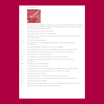#### On Repetition

1



- In evolution, convergence is the name of the process by which two unrelated species come to possess the same or similar characteristics because subject to similar evolutionary pressures. 1.1
- Similar processes happen elsewhere. 1.2
- Repetition in the world is commonplace. 2.
- Repetition in the world of things is conditioned by utility and the mode of their production. 2.1
- Products are standardized. 2.1.1
- Branding makes the standardized product recognizable and easy to consume. 2.1.2
- In psychoanalysis, repetition is a sign of blockage. 3.
- In the symptom, the subject unwittingly repeats the traumatic event. 3.1
- The repressed, via the unconscious, forces its way to the surface. 3.1.1
- Repetition is the cost of repression. 3.1.2
- To repeat is to be haunted: a sign of unfinished business. 3.2
- The subject clings to her symptom; if she did not, it would not be a symptom. 3.3
- Repetition can be reassuring. 3.3.1
- In art, repetition is expected. 4
- Consistency can be reassuring for art's makers and consumers alike. 4.1
- One pressure on a successful artist is to repeat the success. 4.1.1
- Literal repetition is dumb. 4.2
- Copying oneself is as mindless as copying someone else. 4.2.1
- Mindlessness in art and mindlessness in the world can look similar. 4.2.2
- Repetition can be a refusal. 4.3
- Repetition can negate all kinds of talk of originality, sensitivity and so on. 4.3.1
- Repetition gives the artist something else to do. 5.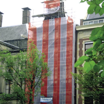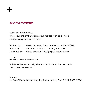### ACKNOWLEDGEMENTS

copyright by the artist The copyright of the text (essay) resides with text+work Images copyright by the artist

| Written by  | David Burrows, Mark Hutchinson + Paul O'Neill |
|-------------|-----------------------------------------------|
| Edited by   | Violet McClean / vmcclean@aib.ac.uk           |
| Designed by | Sonja Stender / design@jazznoons.co.uk        |

the **arts institute** at bournemouth

Published by text+work, The Arts Institute at Bournemouth ISBN 0-901196-16-9

images as from "Found Buren" ongoing image series, Paul O'Neill 2003-2006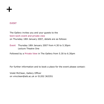## EVENT

The Gallery invites you and your guests to the text+work event and private view on Thursday 18th January 2007, details are as follows:

Event Thursday 18th January 2007 from 4.30 to 5.30pm Lecture Theatre One

Followed by a Private View in The Gallery from 5.30 to 6.30pm

For further information and to book a place for the event please contact:

Violet McClean, Gallery Officer on vmcclean@aib.ac.uk or 01202 363351